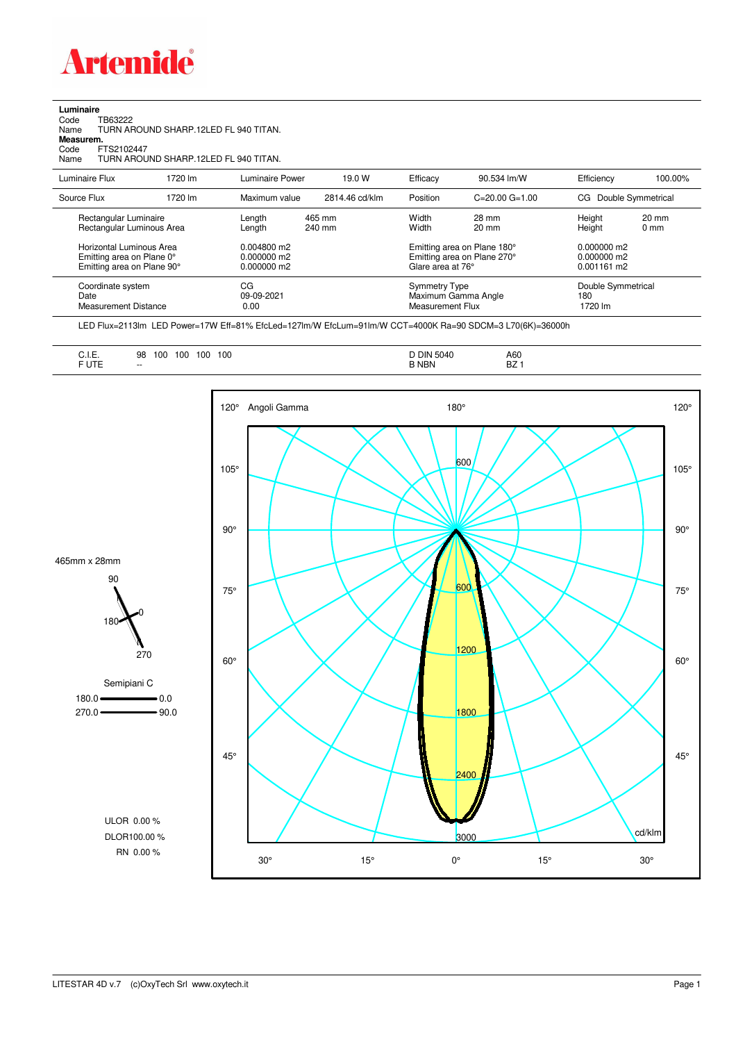

**Luminaire**

| Code<br>Name<br>Measurem.<br>Code<br>Name | TB63222<br>FTS2102447                                                               | TURN AROUND SHARP.12LED FL 940 TITAN.<br>TURN AROUND SHARP 12LED FL 940 TITAN. |                                           |                  |                |                                                                        |                                                            |                                           |                         |
|-------------------------------------------|-------------------------------------------------------------------------------------|--------------------------------------------------------------------------------|-------------------------------------------|------------------|----------------|------------------------------------------------------------------------|------------------------------------------------------------|-------------------------------------------|-------------------------|
| Luminaire Flux                            |                                                                                     | 1720 lm                                                                        | Luminaire Power                           |                  | 19.0 W         | Efficacy                                                               | 90.534 lm/W                                                | Efficiency                                | 100.00%                 |
| Source Flux                               |                                                                                     | 1720 lm                                                                        | Maximum value                             |                  | 2814.46 cd/klm | Position                                                               | $C = 20.00$ $G = 1.00$                                     | CG.                                       | Double Symmetrical      |
|                                           | Rectangular Luminaire<br>Rectangular Luminous Area                                  |                                                                                | Length<br>Length                          | 465 mm<br>240 mm |                | Width<br>Width                                                         | 28 mm<br>$20 \text{ mm}$                                   | Height<br>Height                          | 20 mm<br>$0 \text{ mm}$ |
|                                           | Horizontal Luminous Area<br>Emitting area on Plane 0°<br>Emitting area on Plane 90° |                                                                                | 0.004800 m2<br>0.000000 m2<br>0.000000 m2 |                  |                | Glare area at 76°                                                      | Emitting area on Plane 180°<br>Emitting area on Plane 270° | 0.000000 m2<br>0.000000 m2<br>0.001161 m2 |                         |
| Date                                      | Coordinate system<br><b>Measurement Distance</b>                                    |                                                                                | CG<br>09-09-2021<br>0.00                  |                  |                | <b>Symmetry Type</b><br>Maximum Gamma Angle<br><b>Measurement Flux</b> |                                                            | Double Symmetrical<br>180<br>1720 lm      |                         |

LED Flux=2113lm LED Power=17W Eff=81% EfcLed=127lm/W EfcLum=91lm/W CCT=4000K Ra=90 SDCM=3 L70(6K)=36000h